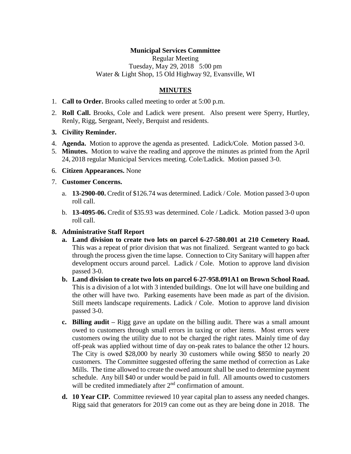## **Municipal Services Committee**

Regular Meeting Tuesday, May 29, 2018 5:00 pm Water & Light Shop, 15 Old Highway 92, Evansville, WI

## **MINUTES**

- 1. **Call to Order.** Brooks called meeting to order at 5:00 p.m.
- 2. **Roll Call.** Brooks, Cole and Ladick were present. Also present were Sperry, Hurtley, Renly, Rigg, Sergeant, Neely, Berquist and residents.

#### **3. Civility Reminder.**

- 4. **Agenda.** Motion to approve the agenda as presented. Ladick/Cole. Motion passed 3-0.
- 5. **Minutes.** Motion to waive the reading and approve the minutes as printed from the April 24, 2018 regular Municipal Services meeting. Cole/Ladick. Motion passed 3-0.

#### 6. **Citizen Appearances.** None

#### 7. **Customer Concerns.**

- a. **13-2900-00.** Credit of \$126.74 was determined. Ladick / Cole. Motion passed 3-0 upon roll call.
- b. **13-4095-06.** Credit of \$35.93 was determined. Cole / Ladick. Motion passed 3-0 upon roll call.

## **8. Administrative Staff Report**

- **a. Land division to create two lots on parcel 6-27-580.001 at 210 Cemetery Road.**  This was a repeat of prior division that was not finalized. Sergeant wanted to go back through the process given the time lapse. Connection to City Sanitary will happen after development occurs around parcel. Ladick / Cole. Motion to approve land division passed 3-0.
- **b. Land division to create two lots on parcel 6-27-958.091A1 on Brown School Road.**  This is a division of a lot with 3 intended buildings. One lot will have one building and the other will have two. Parking easements have been made as part of the division. Still meets landscape requirements. Ladick / Cole. Motion to approve land division passed 3-0.
- **c. Billing audit –** Rigg gave an update on the billing audit. There was a small amount owed to customers through small errors in taxing or other items. Most errors were customers owing the utility due to not be charged the right rates. Mainly time of day off-peak was applied without time of day on-peak rates to balance the other 12 hours. The City is owed \$28,000 by nearly 30 customers while owing \$850 to nearly 20 customers. The Committee suggested offering the same method of correction as Lake Mills. The time allowed to create the owed amount shall be used to determine payment schedule. Any bill \$40 or under would be paid in full. All amounts owed to customers will be credited immediately after  $2<sup>nd</sup>$  confirmation of amount.
- **d. 10 Year CIP.** Committee reviewed 10 year capital plan to assess any needed changes. Rigg said that generators for 2019 can come out as they are being done in 2018. The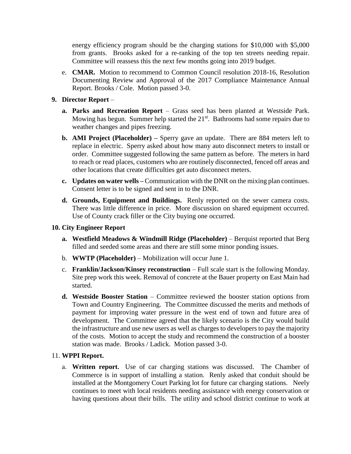energy efficiency program should be the charging stations for \$10,000 with \$5,000 from grants. Brooks asked for a re-ranking of the top ten streets needing repair. Committee will reassess this the next few months going into 2019 budget.

- e. **CMAR.** Motion to recommend to Common Council resolution 2018-16, Resolution Documenting Review and Approval of the 2017 Compliance Maintenance Annual Report. Brooks / Cole. Motion passed 3-0.
- **9. Director Report**
	- **a. Parks and Recreation Report** Grass seed has been planted at Westside Park. Mowing has begun. Summer help started the  $21<sup>st</sup>$ . Bathrooms had some repairs due to weather changes and pipes freezing.
	- **b. AMI Project (Placeholder) –** Sperry gave an update. There are 884 meters left to replace in electric. Sperry asked about how many auto disconnect meters to install or order. Committee suggested following the same pattern as before. The meters in hard to reach or read places, customers who are routinely disconnected, fenced off areas and other locations that create difficulties get auto disconnect meters.
	- **c. Updates on water wells –** Communication with the DNR on the mixing plan continues. Consent letter is to be signed and sent in to the DNR.
	- **d. Grounds, Equipment and Buildings.** Renly reported on the sewer camera costs. There was little difference in price. More discussion on shared equipment occurred. Use of County crack filler or the City buying one occurred.

## **10. City Engineer Report**

- **a. Westfield Meadows & Windmill Ridge (Placeholder)** Berquist reported that Berg filled and seeded some areas and there are still some minor ponding issues.
- b. **WWTP (Placeholder)** Mobilization will occur June 1.
- c. **Franklin/Jackson/Kinsey reconstruction** Full scale start is the following Monday. Site prep work this week. Removal of concrete at the Bauer property on East Main had started.
- **d. Westside Booster Station** Committee reviewed the booster station options from Town and Country Engineering. The Committee discussed the merits and methods of payment for improving water pressure in the west end of town and future area of development. The Committee agreed that the likely scenario is the City would build the infrastructure and use new users as well as charges to developers to pay the majority of the costs. Motion to accept the study and recommend the construction of a booster station was made. Brooks / Ladick. Motion passed 3-0.

# 11. **WPPI Report.**

a. **Written report.** Use of car charging stations was discussed. The Chamber of Commerce is in support of installing a station. Renly asked that conduit should be installed at the Montgomery Court Parking lot for future car charging stations. Neely continues to meet with local residents needing assistance with energy conservation or having questions about their bills. The utility and school district continue to work at